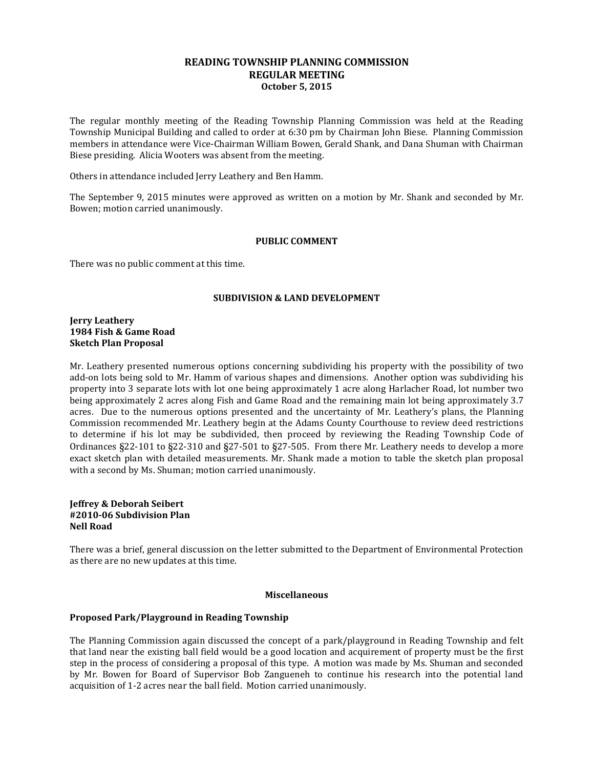## **READING TOWNSHIP PLANNING COMMISSION REGULAR MEETING October 5, 2015**

The regular monthly meeting of the Reading Township Planning Commission was held at the Reading Township Municipal Building and called to order at 6:30 pm by Chairman John Biese. Planning Commission members in attendance were Vice-Chairman William Bowen, Gerald Shank, and Dana Shuman with Chairman Biese presiding. Alicia Wooters was absent from the meeting.

Others in attendance included Jerry Leathery and Ben Hamm.

The September 9, 2015 minutes were approved as written on a motion by Mr. Shank and seconded by Mr. Bowen; motion carried unanimously.

#### **PUBLIC COMMENT**

There was no public comment at this time.

#### **SUBDIVISION & LAND DEVELOPMENT**

**Jerry Leathery 1984 Fish & Game Road Sketch Plan Proposal**

Mr. Leathery presented numerous options concerning subdividing his property with the possibility of two add-on lots being sold to Mr. Hamm of various shapes and dimensions. Another option was subdividing his property into 3 separate lots with lot one being approximately 1 acre along Harlacher Road, lot number two being approximately 2 acres along Fish and Game Road and the remaining main lot being approximately 3.7 acres. Due to the numerous options presented and the uncertainty of Mr. Leathery's plans, the Planning Commission recommended Mr. Leathery begin at the Adams County Courthouse to review deed restrictions to determine if his lot may be subdivided, then proceed by reviewing the Reading Township Code of Ordinances §22-101 to §22-310 and §27-501 to §27-505. From there Mr. Leathery needs to develop a more exact sketch plan with detailed measurements. Mr. Shank made a motion to table the sketch plan proposal with a second by Ms. Shuman; motion carried unanimously.

### **Jeffrey & Deborah Seibert #2010-06 Subdivision Plan Nell Road**

There was a brief, general discussion on the letter submitted to the Department of Environmental Protection as there are no new updates at this time.

### **Miscellaneous**

### **Proposed Park/Playground in Reading Township**

The Planning Commission again discussed the concept of a park/playground in Reading Township and felt that land near the existing ball field would be a good location and acquirement of property must be the first step in the process of considering a proposal of this type. A motion was made by Ms. Shuman and seconded by Mr. Bowen for Board of Supervisor Bob Zangueneh to continue his research into the potential land acquisition of 1-2 acres near the ball field. Motion carried unanimously.